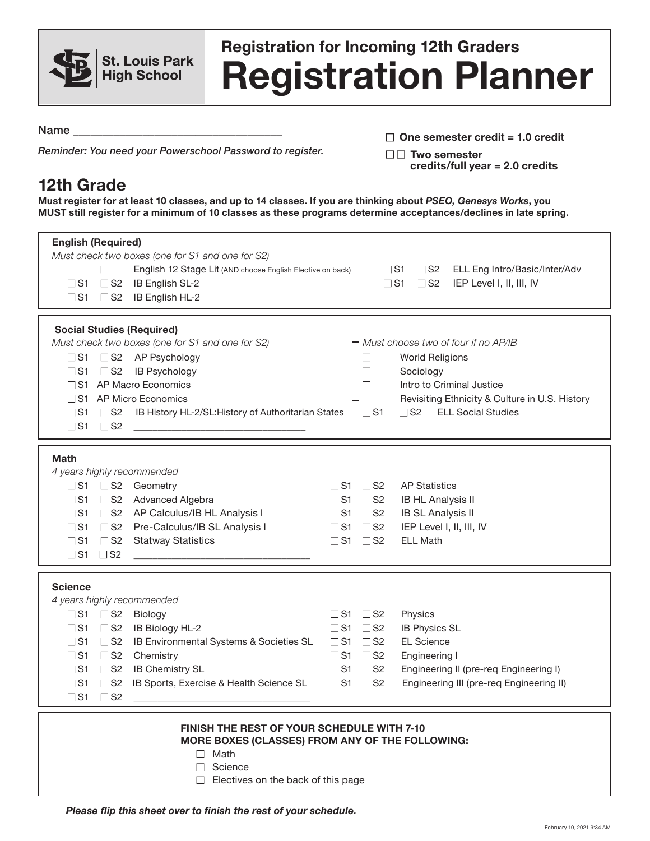

## **Registration Planner Registration for Incoming 12th Graders**

Name

*Reminder: You need your Powerschool Password to register.*

| $\Box$ One semester credit = 1.0 credit |
|-----------------------------------------|
| $\Box\Box$ Two semester                 |
| credits/full year $= 2.0$ credits       |

## **12th Grade**

**Must register for at least 10 classes, and up to 14 classes. If you are thinking about** *PSEO, Genesys Works***, you MUST still register for a minimum of 10 classes as these programs determine acceptances/declines in late spring.**

| <b>English (Required)</b><br>Must check two boxes (one for S1 and one for S2)<br>English 12 Stage Lit (AND choose English Elective on back)<br>$\Gamma$ S1<br>$\Box$ S2 IB English SL-2<br>$\Box$ S1 $\Box$ S2 IB English HL-2                                                                                                                                                                                               |                                                                                                                                                         | $\begin{array}{ccc} \square & \square & \square & \square & \square \end{array}$<br>ELL Eng Intro/Basic/Inter/Adv<br>$\sqcup$ S1<br>IEP Level I, II, III, IV<br>$\sqcup$ S2                           |  |
|------------------------------------------------------------------------------------------------------------------------------------------------------------------------------------------------------------------------------------------------------------------------------------------------------------------------------------------------------------------------------------------------------------------------------|---------------------------------------------------------------------------------------------------------------------------------------------------------|-------------------------------------------------------------------------------------------------------------------------------------------------------------------------------------------------------|--|
| <b>Social Studies (Required)</b><br>Must check two boxes (one for S1 and one for S2)<br>□ S2 AP Psychology<br>$\Box$ S1<br>IB Psychology<br>$\mathsf{L}$ S2<br>$\sqcup$ S1<br>S1 AP Macro Economics<br>∟ S1 AP Micro Economics<br>$\Gamma$ S1<br>$\Box$ S2<br>IB History HL-2/SL: History of Authoritarian States<br>$\Box$ S1<br><b>S2</b>                                                                                  | $\Box$<br>$\Box$<br>$\Box$<br>$\Box$ S1                                                                                                                 | - Must choose two of four if no AP/IB<br><b>World Religions</b><br>Sociology<br>Intro to Criminal Justice<br>Revisiting Ethnicity & Culture in U.S. History<br><b>ELL Social Studies</b><br>$\Box$ S2 |  |
| <b>Math</b><br>4 years highly recommended<br>□ S2 Geometry<br>$\Box$ S1<br>L S2 Advanced Algebra<br>$\sqcup$ S1<br>$\Gamma$ S1<br>□ S2 AP Calculus/IB HL Analysis I<br>□ S2 Pre-Calculus/IB SL Analysis I<br>$\square$ S1<br>$\Box$ S1<br>$\Box$ S2<br><b>Statway Statistics</b><br>$\sqcup$ S1<br>$\Box$ S2                                                                                                                 | $\Box$ S2<br>$\Box$ S1<br>$\Box$ S2<br>$\Box$ S1<br>$\Box$ S1<br>$\Box$ S2<br>$\Box$ S2<br>$\Box$ S1<br>$\Box$ S1<br>$\Box$ S2                          | <b>AP Statistics</b><br><b>IB HL Analysis II</b><br><b>IB SL Analysis II</b><br>IEP Level I, II, III, IV<br><b>ELL Math</b>                                                                           |  |
| <b>Science</b><br>4 years highly recommended<br>$\sqcup$ S1<br>$\Box$ S2<br>Biology<br>$\Box$ S2<br>$\Box$ S1<br>IB Biology HL-2<br>$\Gamma$ S1<br>$\Box$ S2<br>IB Environmental Systems & Societies SL<br>$\Gamma$ S1<br>$\sqsupset$ S2<br>Chemistry<br><b>IB Chemistry SL</b><br>$\Gamma$ S1<br>$\mathsf{S}2$<br>$\Gamma$ S1<br>$\sqsupset$ S2<br>IB Sports, Exercise & Health Science SL<br>$\Gamma$ S1<br>$\sqsupset$ S2 | $\Box$ S1 $\Box$ S2<br>$\Box$ S1<br>$\Box$ S2<br>$\Box$ S2<br>$\Box$ S1<br>$\Box$ S2<br>$\sqcup$ S1<br>$\Box$ S2<br>$\Box$ S1<br>$\Box$ S1<br>$\Box$ S2 | Physics<br><b>IB Physics SL</b><br><b>EL Science</b><br>Engineering I<br>Engineering II (pre-req Engineering I)<br>Engineering III (pre-req Engineering II)                                           |  |
| <b>FINISH THE REST OF YOUR SCHEDULE WITH 7-10</b><br>MORE BOXES (CLASSES) FROM ANY OF THE FOLLOWING:<br>Math<br>$\mathbf{L}$<br>Science<br>$\Box$ Electives on the back of this page                                                                                                                                                                                                                                         |                                                                                                                                                         |                                                                                                                                                                                                       |  |